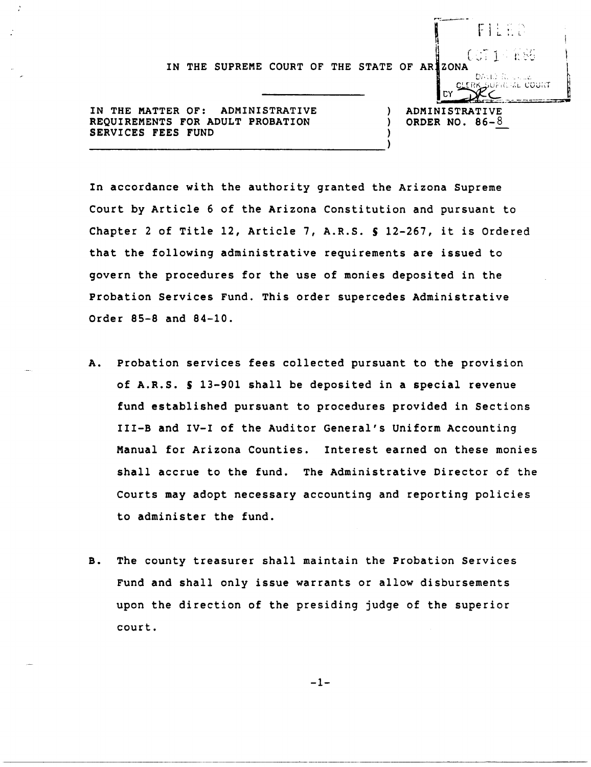IN THE SUPREME COURT OF THE STATE OF ARIZONA<br>CLERK SUPREME COURT OF THE STATE OF ARIZONA

IN THE MATTER OF: ADMINISTRATIVE  $(100 \text{ P})$  administrative REQUIREMENTS FOR ADULT PROBATION  $(200 \text{ P})$  order no. 86-8 REQUIREMENTS FOR ADULT PROBATION SERVICES FEES FUND

DУ

÷.

I FILED

In accordance with the authority granted the Arizona Supreme Court by Article 6 of the Arizona Constitution and pursuant to Chapter 2 of Title 12, Article 7, A.R.S. S 12-267, it is Ordered that the following administrative requirements are issued to govern the procedures for the use of monies deposited in the Probation Services Fund. This order supercedes Administrative Order 85-8 and 84-10.

- A. Probation services fees collected pursuant to the provision of A.R.S. S 13-901 shall be deposited in a special revenue fund established pursuant to procedures provided in Sections III-B and IV-I of the Auditor General's Uniform Accounting Manual for Arizona Counties. Interest earned on these monies shall accrue to the fund. The Administrative Director of the Courts may adopt necessary accounting and reporting policies to administer the fund.
- B. The county treasurer shall maintain the Probation Services Fund and shall only issue warrants or allow disbursements upon the direction of the presiding judge of the superior court.

-1-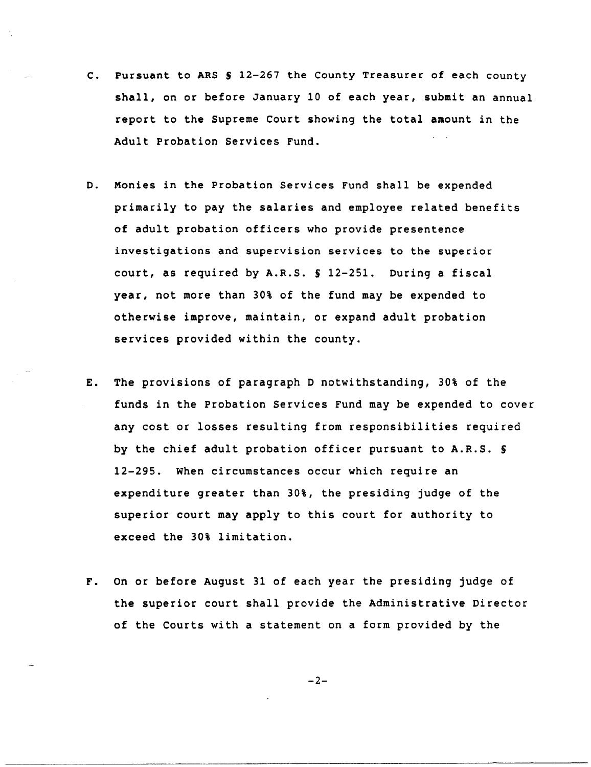- C. Pursuant to ARS S 12-267 the County Treasurer of each county shall, on or before January 10 of each year, submit an annual report to the Supreme Court showing the total amount in the Adult Probation Services Fund.
- D. Monies in the Probation Services Fund shall be expended primarily to pay the salaries and employee related benefits of adult probation officers who provide presentence investigations and supervision services to the superior court, as required by A.R.S. S 12-251. During a fiscal year, not more than 30% of the fund may be expended to otherwise improve, maintain, or expand adult probation services provided within the county.
- E. The provisions of paragraph D notwithstanding, 30% of the funds in the Probation Services Fund may be expended to cover any cost or losses resulting from responsibilities required by the chief adult probation officer pursuant to A.R.S. S 12-295. When circumstances occur which require an expenditure greater than 30%, the presiding judge of the superior court may apply to this court for authority to exceed the 30% limitation.
- F. On or before August 31 of each year the presiding judge of the superior court shall provide the Administrative Director of the Courts with a statement on a form provided by the

$$
-2-
$$